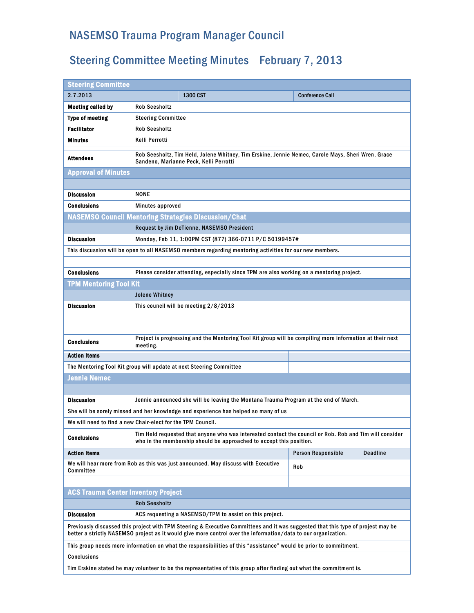## NASEMSO Trauma Program Manager Council

## Steering Committee Meeting Minutes February 7, 2013

| <b>Steering Committee</b>                                                                                                                                                                                                                          |                                                                                                                                                                                |                                                                                                         |                        |                 |  |
|----------------------------------------------------------------------------------------------------------------------------------------------------------------------------------------------------------------------------------------------------|--------------------------------------------------------------------------------------------------------------------------------------------------------------------------------|---------------------------------------------------------------------------------------------------------|------------------------|-----------------|--|
| 2.7.2013                                                                                                                                                                                                                                           |                                                                                                                                                                                | 1300 CST                                                                                                | <b>Conference Call</b> |                 |  |
| Meeting called by                                                                                                                                                                                                                                  | <b>Rob Seesholtz</b>                                                                                                                                                           |                                                                                                         |                        |                 |  |
| <b>Type of meeting</b>                                                                                                                                                                                                                             | <b>Steering Committee</b>                                                                                                                                                      |                                                                                                         |                        |                 |  |
| <b>Facilitator</b>                                                                                                                                                                                                                                 | <b>Rob Seesholtz</b>                                                                                                                                                           |                                                                                                         |                        |                 |  |
| Minutes                                                                                                                                                                                                                                            | Kelli Perrotti                                                                                                                                                                 |                                                                                                         |                        |                 |  |
| <b>Attendees</b>                                                                                                                                                                                                                                   | Rob Seesholtz, Tim Held, Jolene Whitney, Tim Erskine, Jennie Nemec, Carole Mays, Sheri Wren, Grace<br>Sandeno, Marianne Peck, Kelli Perrotti                                   |                                                                                                         |                        |                 |  |
| <b>Approval of Minutes</b>                                                                                                                                                                                                                         |                                                                                                                                                                                |                                                                                                         |                        |                 |  |
|                                                                                                                                                                                                                                                    |                                                                                                                                                                                |                                                                                                         |                        |                 |  |
| <b>Discussion</b>                                                                                                                                                                                                                                  | <b>NONE</b>                                                                                                                                                                    |                                                                                                         |                        |                 |  |
| Conclusions                                                                                                                                                                                                                                        | Minutes approved                                                                                                                                                               |                                                                                                         |                        |                 |  |
|                                                                                                                                                                                                                                                    | <b>NASEMSO Council Mentoring Strategies Discussion/Chat</b>                                                                                                                    |                                                                                                         |                        |                 |  |
|                                                                                                                                                                                                                                                    | Request by Jim DeTienne, NASEMSO President                                                                                                                                     |                                                                                                         |                        |                 |  |
| <b>Discussion</b>                                                                                                                                                                                                                                  | Monday, Feb 11, 1:00PM CST (877) 366-0711 P/C 50199457#                                                                                                                        |                                                                                                         |                        |                 |  |
|                                                                                                                                                                                                                                                    |                                                                                                                                                                                | This discussion will be open to all NASEMSO members regarding mentoring activities for our new members. |                        |                 |  |
|                                                                                                                                                                                                                                                    |                                                                                                                                                                                |                                                                                                         |                        |                 |  |
| <b>Conclusions</b>                                                                                                                                                                                                                                 | Please consider attending, especially since TPM are also working on a mentoring project.                                                                                       |                                                                                                         |                        |                 |  |
| <b>TPM Mentoring Tool Kit</b>                                                                                                                                                                                                                      |                                                                                                                                                                                |                                                                                                         |                        |                 |  |
|                                                                                                                                                                                                                                                    | <b>Jolene Whitney</b>                                                                                                                                                          |                                                                                                         |                        |                 |  |
| <b>Discussion</b>                                                                                                                                                                                                                                  |                                                                                                                                                                                | This council will be meeting 2/8/2013                                                                   |                        |                 |  |
|                                                                                                                                                                                                                                                    |                                                                                                                                                                                |                                                                                                         |                        |                 |  |
|                                                                                                                                                                                                                                                    |                                                                                                                                                                                |                                                                                                         |                        |                 |  |
| Conclusions                                                                                                                                                                                                                                        | Project is progressing and the Mentoring Tool Kit group will be compiling more information at their next<br>meeting.                                                           |                                                                                                         |                        |                 |  |
| <b>Action Items</b>                                                                                                                                                                                                                                |                                                                                                                                                                                |                                                                                                         |                        |                 |  |
| The Mentoring Tool Kit group will update at next Steering Committee                                                                                                                                                                                |                                                                                                                                                                                |                                                                                                         |                        |                 |  |
| <b>Jennie Nemec</b>                                                                                                                                                                                                                                |                                                                                                                                                                                |                                                                                                         |                        |                 |  |
|                                                                                                                                                                                                                                                    |                                                                                                                                                                                |                                                                                                         |                        |                 |  |
| <b>Discussion</b>                                                                                                                                                                                                                                  |                                                                                                                                                                                | Jennie announced she will be leaving the Montana Trauma Program at the end of March.                    |                        |                 |  |
|                                                                                                                                                                                                                                                    |                                                                                                                                                                                | She will be sorely missed and her knowledge and experience has helped so many of us                     |                        |                 |  |
| We will need to find a new Chair-elect for the TPM Council.                                                                                                                                                                                        |                                                                                                                                                                                |                                                                                                         |                        |                 |  |
| Conclusions                                                                                                                                                                                                                                        | Tim Held requested that anyone who was interested contact the council or Rob. Rob and Tim will consider<br>who in the membership should be approached to accept this position. |                                                                                                         |                        |                 |  |
| <b>Action Items</b>                                                                                                                                                                                                                                |                                                                                                                                                                                |                                                                                                         | Person Responsible     | <b>Deadline</b> |  |
| We will hear more from Rob as this was just announced. May discuss with Executive<br>Committee                                                                                                                                                     |                                                                                                                                                                                |                                                                                                         | Rob                    |                 |  |
|                                                                                                                                                                                                                                                    |                                                                                                                                                                                |                                                                                                         |                        |                 |  |
| <b>ACS Trauma Center Inventory Project</b>                                                                                                                                                                                                         |                                                                                                                                                                                |                                                                                                         |                        |                 |  |
|                                                                                                                                                                                                                                                    | <b>Rob Seesholtz</b>                                                                                                                                                           |                                                                                                         |                        |                 |  |
| <b>Discussion</b>                                                                                                                                                                                                                                  |                                                                                                                                                                                | ACS requesting a NASEMSO/TPM to assist on this project.                                                 |                        |                 |  |
| Previously discussed this project with TPM Steering & Executive Committees and it was suggested that this type of project may be<br>better a strictly NASEMSO project as it would give more control over the information/data to our organization. |                                                                                                                                                                                |                                                                                                         |                        |                 |  |
| This group needs more information on what the responsibilities of this "assistance" would be prior to commitment.                                                                                                                                  |                                                                                                                                                                                |                                                                                                         |                        |                 |  |
| <b>Conclusions</b>                                                                                                                                                                                                                                 |                                                                                                                                                                                |                                                                                                         |                        |                 |  |
|                                                                                                                                                                                                                                                    | Tim Erskine stated he may volunteer to be the representative of this group after finding out what the commitment is.                                                           |                                                                                                         |                        |                 |  |